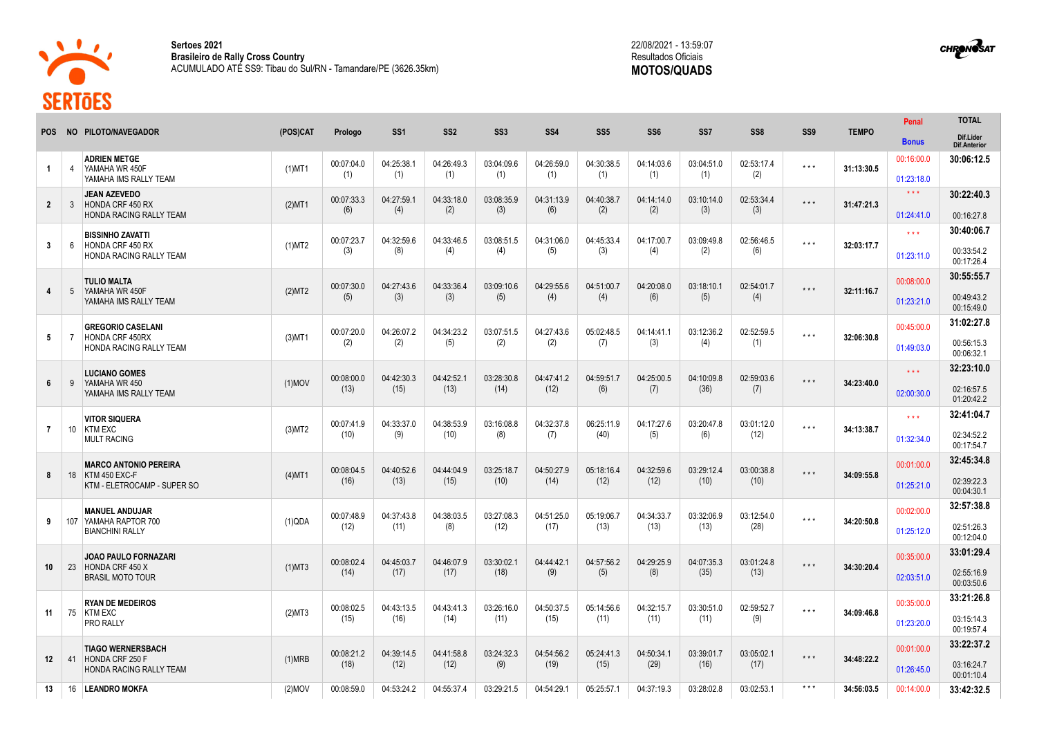

**Sertoes 2021 Brasileiro de Rally Cross Country** ACUMULADO ATÉ SS9: Tibau do Sul/RN - Tamandare/PE (3626.35km)



**CHRONOSAT** 



**13** 16 **LEANDRO MOKFA** (2)MOV 00:08:59.0 04:53:24.2 04:55:37.4 03:29:21.5 04:54:29.1 05:25:57.1 04:37:19.3 03:28:02.8 03:02:53.1 \* \* \* **34:56:03.5** 00:14:00.0 **33:42:32.5**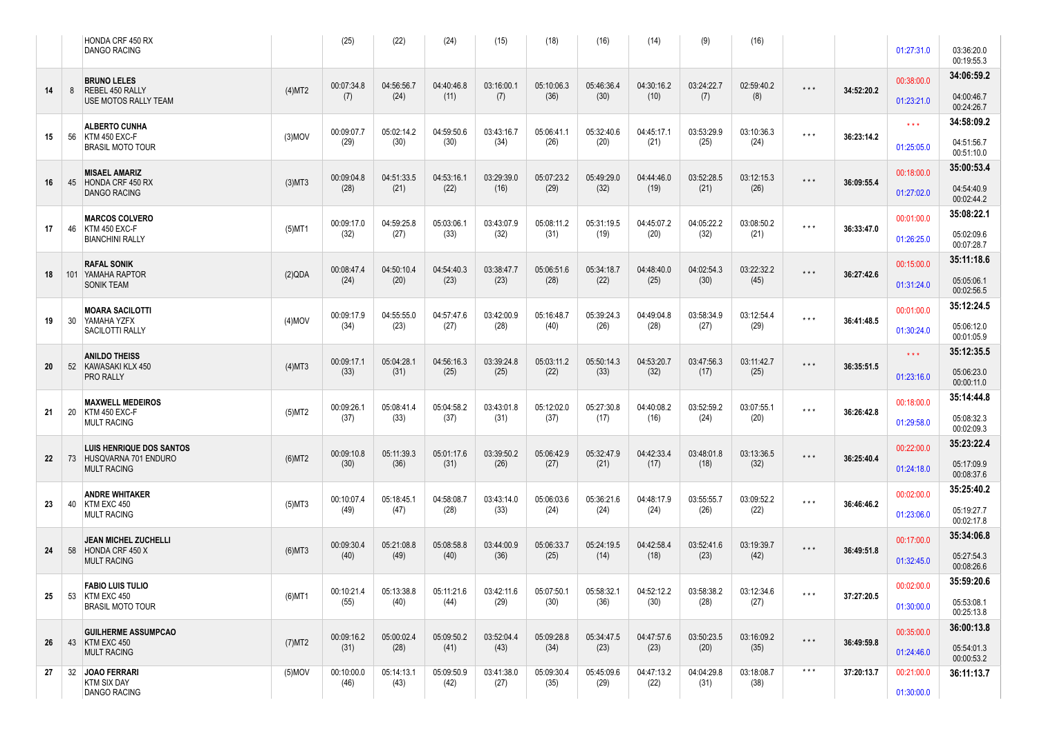|    |   | HONDA CRF 450 RX<br>DANGO RACING                                                 |           | (25)               | (22)               | (24)               | (15)               | (18)               | (16)               | (14)               | (9)                | (16)               |                         |            | 01:27:31.0               | 03:36:20.0<br>00:19:55.3 |
|----|---|----------------------------------------------------------------------------------|-----------|--------------------|--------------------|--------------------|--------------------|--------------------|--------------------|--------------------|--------------------|--------------------|-------------------------|------------|--------------------------|--------------------------|
|    |   | <b>BRUNO LELES</b>                                                               |           | 00:07:34.8         | 04:56:56.7         | 04:40:46.8         | 03:16:00.1         | 05:10:06.3         | 05:46:36.4         | 04:30:16.2         | 03:24:22.7         | 02:59:40.2         | $\star$ $\star$ $\star$ | 34:52:20.2 | 00:38:00.0               | 34:06:59.2               |
| 14 | 8 | REBEL 450 RALLY<br><b>USE MOTOS RALLY TEAM</b>                                   | (4)MT2    | (7)                | (24)               | (11)               | (7)                | (36)               | (30)               | (10)               | (7)                | (8)                |                         |            | 01:23:21.0               | 04:00:46.7<br>00:24:26.7 |
| 15 |   | <b>ALBERTO CUNHA</b><br>56 KTM 450 EXC-F                                         | $(3)$ MOV | 00:09:07.7         | 05:02:14.2         | 04:59:50.6         | 03:43:16.7         | 05:06:41.1         | 05:32:40.6         | 04:45:17.1         | 03:53:29.9         | 03:10:36.3         | $\star$ $\star$ $\star$ | 36:23:14.2 | $\star \star \star$      | 34:58:09.2               |
|    |   | <b>BRASIL MOTO TOUR</b>                                                          |           | (29)               | (30)               | (30)               | (34)               | (26)               | (20)               | (21)               | (25)               | (24)               |                         |            | 01:25:05.0               | 04:51:56.7<br>00:51:10.0 |
| 16 |   | <b>MISAEL AMARIZ</b><br>45 HONDA CRF 450 RX                                      | $(3)$ MT3 | 00:09:04.8         | 04:51:33.5         | 04:53:16.1         | 03:29:39.0         | 05:07:23.2         | 05:49:29.0         | 04:44:46.0         | 03:52:28.5         | 03:12:15.3         | $\star$ $\star$ $\star$ | 36:09:55.4 | 00:18:00.0               | 35:00:53.4               |
|    |   | <b>DANGO RACING</b>                                                              |           | (28)               | (21)               | (22)               | (16)               | (29)               | (32)               | (19)               | (21)               | (26)               |                         |            | 01:27:02.0               | 04:54:40.9<br>00:02:44.2 |
| 17 |   | <b>MARCOS COLVERO</b><br>46 KTM 450 EXC-F                                        | $(5)$ MT1 | 00:09:17.0         | 04:59:25.8         | 05:03:06.1         | 03:43:07.9         | 05:08:11.2         | 05:31:19.5         | 04:45:07.2         | 04:05:22.2         | 03:08:50.2         | $\star$ $\star$ $\star$ | 36:33:47.0 | 00:01:00.0               | 35:08:22.1               |
|    |   | <b>BIANCHINI RALLY</b>                                                           |           | (32)               | (27)               | (33)               | (32)               | (31)               | (19)               | (20)               | (32)               | (21)               |                         |            | 01:26:25.0               | 05:02:09.6<br>00:07:28.7 |
| 18 |   | <b>RAFAL SONIK</b><br>101 YAMAHA RAPTOR                                          | (2)QDA    | 00:08:47.4<br>(24) | 04:50:10.4<br>(20) | 04:54:40.3<br>(23) | 03:38:47.7<br>(23) | 05:06:51.6<br>(28) | 05:34:18.7<br>(22) | 04:48:40.0<br>(25) | 04:02:54.3<br>(30) | 03:22:32.2<br>(45) | $\star$ $\star$ $\star$ | 36:27:42.6 | 00:15:00.0               | 35:11:18.6               |
|    |   | <b>SONIK TEAM</b>                                                                |           |                    |                    |                    |                    |                    |                    |                    |                    |                    |                         |            | 01:31:24.0               | 05:05:06.1<br>00:02:56.5 |
| 19 |   | <b>MOARA SACILOTTI</b><br>30 YAMAHA YZFX                                         | $(4)$ MOV | 00:09:17.9<br>(34) | 04:55:55.0<br>(23) | 04:57:47.6<br>(27) | 03:42:00.9<br>(28) | 05:16:48.7<br>(40) | 05:39:24.3<br>(26) | 04:49:04.8<br>(28) | 03:58:34.9<br>(27) | 03:12:54.4<br>(29) | $\star$ $\star$ $\star$ | 36:41:48.5 | 00:01:00.0               | 35:12:24.5<br>05:06:12.0 |
|    |   | SACILOTTI RALLY                                                                  |           |                    |                    |                    |                    |                    |                    |                    |                    |                    |                         |            | 01:30:24.0               | 00:01:05.9<br>35:12:35.5 |
| 20 |   | <b>ANILDO THEISS</b><br>52 KAWASAKI KLX 450                                      | $(4)$ MT3 | 00:09:17.1<br>(33) | 05:04:28.1<br>(31) | 04:56:16.3<br>(25) | 03:39:24.8<br>(25) | 05:03:11.2<br>(22) | 05:50:14.3<br>(33) | 04:53:20.7<br>(32) | 03:47:56.3<br>(17) | 03:11:42.7<br>(25) | $\star$ $\star$ $\star$ | 36:35:51.5 | $\star \star \star$      | 05:06:23.0               |
|    |   | PRO RALLY                                                                        |           |                    |                    |                    |                    |                    |                    |                    |                    |                    |                         |            | 01:23:16.0               | 00:00:11.0<br>35:14:44.8 |
| 21 |   | <b>MAXWELL MEDEIROS</b><br>20 KTM 450 EXC-F<br><b>MULT RACING</b>                | (5)MT2    | 00:09:26.1<br>(37) | 05:08:41.4<br>(33) | 05:04:58.2<br>(37) | 03:43:01.8<br>(31) | 05:12:02.0<br>(37) | 05:27:30.8<br>(17) | 04:40:08.2<br>(16) | 03:52:59.2<br>(24) | 03:07:55.1<br>(20) | $\star$ $\star$ $\star$ | 36:26:42.8 | 00:18:00.0<br>01:29:58.0 | 05:08:32.3               |
|    |   |                                                                                  |           |                    |                    |                    |                    |                    |                    |                    |                    |                    |                         |            |                          | 00:02:09.3<br>35:23:22.4 |
| 22 |   | <b>LUIS HENRIQUE DOS SANTOS</b><br>73 HUSQVARNA 701 ENDURO<br><b>MULT RACING</b> | $(6)$ MT2 | 00:09:10.8<br>(30) | 05:11:39.3<br>(36) | 05:01:17.6<br>(31) | 03:39:50.2<br>(26) | 05:06:42.9<br>(27) | 05:32:47.9<br>(21) | 04:42:33.4<br>(17) | 03:48:01.8<br>(18) | 03:13:36.5<br>(32) | $\star$ $\star$ $\star$ | 36:25:40.4 | 00:22:00.0<br>01:24:18.0 | 05:17:09.9               |
|    |   | <b>ANDRE WHITAKER</b>                                                            |           |                    |                    |                    |                    |                    |                    |                    |                    |                    |                         |            | 00:02:00.0               | 00:08:37.6<br>35:25:40.2 |
| 23 |   | 40 KTM EXC 450<br><b>MULT RACING</b>                                             | $(5)$ MT3 | 00:10:07.4<br>(49) | 05:18:45.1<br>(47) | 04:58:08.7<br>(28) | 03:43:14.0<br>(33) | 05:06:03.6<br>(24) | 05:36:21.6<br>(24) | 04:48:17.9<br>(24) | 03:55:55.7<br>(26) | 03:09:52.2<br>(22) | $\star\star\star$       | 36:46:46.2 | 01:23:06.0               | 05:19:27.7               |
|    |   | JEAN MICHEL ZUCHELLI                                                             |           |                    |                    |                    |                    |                    |                    |                    |                    |                    |                         |            | 00:17:00.0               | 00:02:17.8<br>35:34:06.8 |
| 24 |   | 58 HONDA CRF 450 X<br><b>MULT RACING</b>                                         | $(6)$ MT3 | 00:09:30.4<br>(40) | 05:21:08.8<br>(49) | 05:08:58.8<br>(40) | 03:44:00.9<br>(36) | 05:06:33.7<br>(25) | 05:24:19.5<br>(14) | 04:42:58.4<br>(18) | 03:52:41.6<br>(23) | 03:19:39.7<br>(42) | $\star$ $\star$ $\star$ | 36:49:51.8 | 01:32:45.0               | 05:27:54.3<br>00:08:26.6 |
|    |   | <b>FABIO LUIS TULIO</b>                                                          |           | 00:10:21.4         | 05:13:38.8         | 05:11:21.6         | 03:42:11.6         | 05:07:50.1         | 05:58:32.1         | 04:52:12.2         | 03:58:38.2         | 03:12:34.6         |                         | 37:27:20.5 | 00:02:00.0               | 35:59:20.6               |
| 25 |   | 53 KTM EXC 450<br><b>BRASIL MOTO TOUR</b>                                        | $(6)$ MT1 | (55)               | (40)               | (44)               | (29)               | (30)               | (36)               | (30)               | (28)               | (27)               | $\star$ $\star$ $\star$ |            | 01:30:00.0               | 05:53:08.1<br>00:25:13.8 |
|    |   | <b>GUILHERME ASSUMPCAO</b>                                                       |           | 00:09:16.2         | 05:00:02.4         | 05:09:50.2         | 03:52:04.4         | 05:09:28.8         | 05:34:47.5         | 04:47:57.6         | 03:50:23.5         | 03:16:09.2         | $\star$ $\star$ $\star$ |            | 00:35:00.0               | 36:00:13.8               |
| 26 |   | 43 KTM EXC 450<br><b>MULT RACING</b>                                             | (7)MT2    | (31)               | (28)               | (41)               | (43)               | (34)               | (23)               | (23)               | (20)               | (35)               |                         | 36:49:59.8 | 01:24:46.0               | 05:54:01.3<br>00:00:53.2 |
| 27 |   | 32 JOAO FERRARI<br><b>KTM SIX DAY</b>                                            | $(5)$ MOV | 00:10:00.0<br>(46) | 05:14:13.1<br>(43) | 05:09:50.9<br>(42) | 03:41:38.0<br>(27) | 05:09:30.4<br>(35) | 05:45:09.6<br>(29) | 04:47:13.2<br>(22) | 04:04:29.8<br>(31) | 03:18:08.7<br>(38) | $\star$ $\star$ $\star$ | 37:20:13.7 | 00:21:00.0               | 36:11:13.7               |
|    |   | <b>DANGO RACING</b>                                                              |           |                    |                    |                    |                    |                    |                    |                    |                    |                    |                         |            | 01:30:00.0               |                          |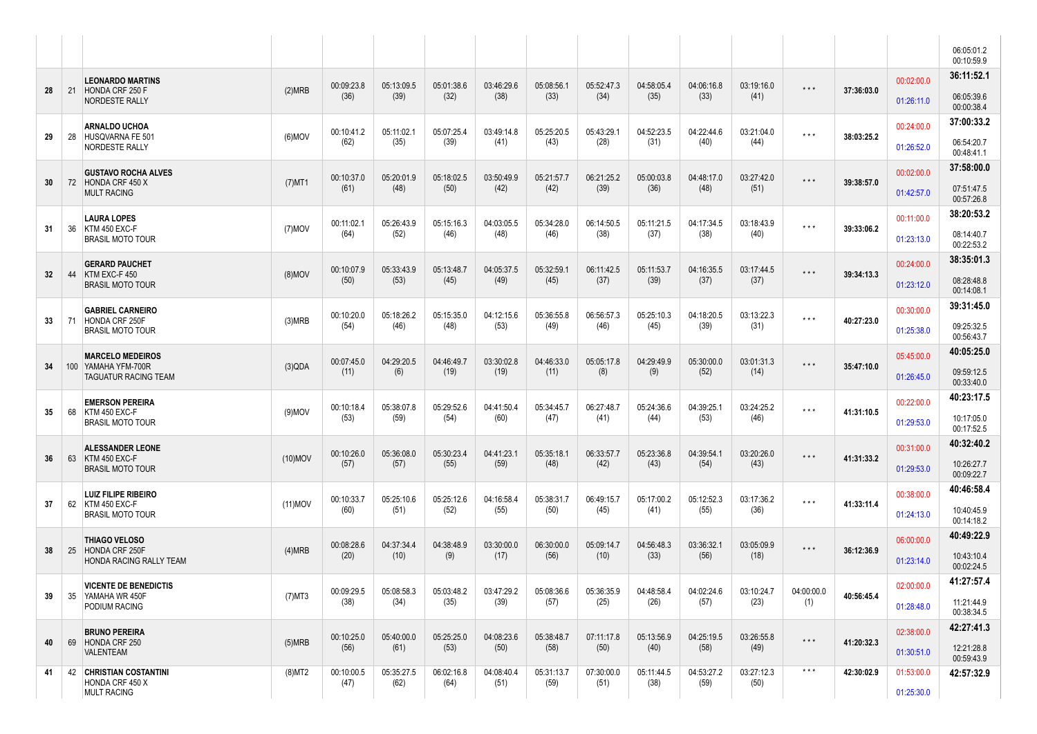|     |     |                                                  |            |                    |                    |                    |                    |                    |                    |                    |                    |                    |                         |            |            | 06:05:01.2<br>00:10:59.9 |
|-----|-----|--------------------------------------------------|------------|--------------------|--------------------|--------------------|--------------------|--------------------|--------------------|--------------------|--------------------|--------------------|-------------------------|------------|------------|--------------------------|
|     |     | <b>LEONARDO MARTINS</b>                          |            | 00:09:23.8         | 05:13:09.5         | 05:01:38.6         | 03:46:29.6         | 05:08:56.1         | 05:52:47.3         | 04:58:05.4         | 04:06:16.8         | 03:19:16.0         |                         |            | 00:02:00.0 | 36:11:52.1               |
| 28  | 21  | HONDA CRF 250 F<br><b>NORDESTE RALLY</b>         | (2)MRB     | (36)               | (39)               | (32)               | (38)               | (33)               | (34)               | (35)               | (33)               | (41)               | $\star$ $\star$ $\star$ | 37:36:03.0 | 01:26:11.0 | 06:05:39.6<br>00:00:38.4 |
|     |     | <b>ARNALDO UCHOA</b>                             |            | 00:10:41.2         | 05:11:02.1         | 05:07:25.4         | 03:49:14.8         | 05:25:20.5         | 05:43:29.1         | 04:52:23.5         | 04:22:44.6         | 03:21:04.0         | $\star$ $\star$ $\star$ |            | 00:24:00.0 | 37:00:33.2               |
| 29  | 28  | HUSQVARNA FE 501<br>NORDESTE RALLY               | $(6)$ MOV  | (62)               | (35)               | (39)               | (41)               | (43)               | (28)               | (31)               | (40)               | (44)               |                         | 38:03:25.2 | 01:26:52.0 | 06:54:20.7<br>00:48:41.1 |
|     |     | <b>GUSTAVO ROCHA ALVES</b><br>72 HONDA CRF 450 X |            | 00:10:37.0         | 05:20:01.9         | 05:18:02.5         | 03:50:49.9         | 05:21:57.7         | 06:21:25.2         | 05:00:03.8         | 04:48:17.0         | 03:27:42.0         | $\star$ $\star$ $\star$ |            | 00:02:00.0 | 37:58:00.0               |
| 30  |     | <b>MULT RACING</b>                               | $(7)$ MT1  | (61)               | (48)               | (50)               | (42)               | (42)               | (39)               | (36)               | (48)               | (51)               |                         | 39:38:57.0 | 01:42:57.0 | 07:51:47.5<br>00:57:26.8 |
|     |     | <b>LAURA LOPES</b>                               |            | 00:11:02.1         | 05:26:43.9         | 05:15:16.3         | 04:03:05.5         | 05:34:28.0         | 06:14:50.5         | 05:11:21.5         | 04:17:34.5         | 03:18:43.9         | $\star$ $\star$ $\star$ | 39:33:06.2 | 00:11:00.0 | 38:20:53.2               |
| 31  | 36  | KTM 450 EXC-F<br><b>BRASIL MOTO TOUR</b>         | $(7)$ MOV  | (64)               | (52)               | (46)               | (48)               | (46)               | (38)               | (37)               | (38)               | (40)               |                         |            | 01:23:13.0 | 08:14:40.7<br>00:22:53.2 |
| 32  | 44  | <b>GERARD PAUCHET</b><br>KTM EXC-F450            | $(8)$ MOV  | 00:10:07.9         | 05:33:43.9         | 05:13:48.7         | 04:05:37.5         | 05:32:59.1         | 06:11:42.5         | 05:11:53.7         | 04:16:35.5         | 03:17:44.5         | $\star$ $\star$ $\star$ | 39:34:13.3 | 00:24:00.0 | 38:35:01.3               |
|     |     | <b>BRASIL MOTO TOUR</b>                          |            | (50)               | (53)               | (45)               | (49)               | (45)               | (37)               | (39)               | (37)               | (37)               |                         |            | 01:23:12.0 | 08:28:48.8<br>00:14:08.1 |
|     |     | <b>GABRIEL CARNEIRO</b>                          |            | 00:10:20.0         | 05:18:26.2         | 05:15:35.0         | 04:12:15.6         | 05:36:55.8         | 06:56:57.3         | 05:25:10.3         | 04:18:20.5         | 03:13:22.3         | $\star$ $\star$ $\star$ |            | 00:30:00.0 | 39:31:45.0               |
| 33  | 71  | HONDA CRF 250F<br><b>BRASIL MOTO TOUR</b>        | (3)MRB     | (54)               | (46)               | (48)               | (53)               | (49)               | (46)               | (45)               | (39)               | (31)               |                         | 40:27:23.0 | 01:25:38.0 | 09:25:32.5<br>00:56:43.7 |
|     |     | <b>MARCELO MEDEIROS</b>                          |            | 00:07:45.0         | 04:29:20.5         | 04:46:49.7         | 03:30:02.8         | 04:46:33.0         | 05:05:17.8         | 04:29:49.9         | 05:30:00.0         | 03:01:31.3         | $\star$ $\star$ $\star$ |            | 05:45:00.0 | 40:05:25.0               |
| 34  | 100 | YAMAHA YFM-700R<br>TAGUATUR RACING TEAM          | (3)QDA     | (11)               | (6)                | (19)               | (19)               | (11)               | (8)                | (9)                | (52)               | (14)               |                         | 35:47:10.0 | 01:26:45.0 | 09:59:12.5<br>00:33:40.0 |
| 35  | 68  | <b>EMERSON PEREIRA</b><br>KTM 450 EXC-F          | $(9)$ MOV  | 00:10:18.4         | 05:38:07.8         | 05:29:52.6         | 04:41:50.4         | 05:34:45.7         | 06:27:48.7         | 05:24:36.6         | 04:39:25.1         | 03:24:25.2         | $***$                   | 41:31:10.5 | 00:22:00.0 | 40:23:17.5               |
|     |     | <b>BRASIL MOTO TOUR</b>                          |            | (53)               | (59)               | (54)               | (60)               | (47)               | (41)               | (44)               | (53)               | (46)               |                         |            | 01:29:53.0 | 10:17:05.0<br>00:17:52.5 |
|     | 63  | <b>ALESSANDER LEONE</b>                          | $(10)$ MOV | 00:10:26.0         | 05:36:08.0         | 05:30:23.4         | 04:41:23.1         | 05:35:18.1         | 06:33:57.7         | 05:23:36.8         | 04:39:54.1         | 03:20:26.0         | $\star$ $\star$ $\star$ |            | 00:31:00.0 | 40:32:40.2               |
| 36  |     | KTM 450 EXC-F<br><b>BRASIL MOTO TOUR</b>         |            | (57)               | (57)               | (55)               | (59)               | (48)               | (42)               | (43)               | (54)               | (43)               |                         | 41:31:33.2 | 01:29:53.0 | 10:26:27.7<br>00:09:22.7 |
| -37 | 62  | <b>LUIZ FILIPE RIBEIRO</b><br>KTM 450 EXC-F      | $(11)$ MOV | 00:10:33.7         | 05:25:10.6         | 05:25:12.6         | 04:16:58.4         | 05:38:31.7         | 06:49:15.7         | 05:17:00.2         | 05:12:52.3         | 03:17:36.2         | $\star$ $\star$ $\star$ | 41:33:11.4 | 00:38:00.0 | 40:46:58.4               |
|     |     | <b>BRASIL MOTO TOUR</b>                          |            | (60)               | (51)               | (52)               | (55)               | (50)               | (45)               | (41)               | (55)               | (36)               |                         |            | 01:24:13.0 | 10:40:45.9<br>00:14:18.2 |
| 38  | 25  | <b>THIAGO VELOSO</b><br>HONDA CRF 250F           | (4)MRB     | 00:08:28.6         | 04:37:34.4         | 04:38:48.9         | 03:30:00.0         | 06:30:00.0         | 05:09:14.7         | 04:56:48.3         | 03:36:32.1         | 03:05:09.9         | $\star$ $\star$ $\star$ | 36:12:36.9 | 06:00:00.0 | 40:49:22.9               |
|     |     | <b>HONDA RACING RALLY TEAM</b>                   |            | (20)               | (10)               | (9)                | (17)               | (56)               | (10)               | (33)               | (56)               | (18)               |                         |            | 01:23:14.0 | 10:43:10.4<br>00:02:24.5 |
|     |     | <b>VICENTE DE BENEDICTIS</b>                     |            | 00:09:29.5         | 05:08:58.3         | 05:03:48.2         | 03:47:29.2         | 05:08:36.6         | 05:36:35.9         | 04:48:58.4         | 04:02:24.6         | 03:10:24.7         | 04:00:00.0              |            | 02:00:00.0 | 41:27:57.4               |
| 39  |     | 35 YAMAHA WR 450F<br>PODIUM RACING               | $(7)$ MT3  | (38)               | (34)               | (35)               | (39)               | (57)               | (25)               | (26)               | (57)               | (23)               | (1)                     | 40:56:45.4 | 01:28:48.0 | 11:21:44.9<br>00:38:34.5 |
| 40  |     | <b>BRUNO PEREIRA</b><br>69 HONDA CRF 250         | (5)MRB     | 00:10:25.0         | 05:40:00.0         | 05:25:25.0         | 04:08:23.6         | 05:38:48.7         | 07:11:17.8         | 05:13:56.9         | 04:25:19.5         | 03:26:55.8         | $\star$ $\star$ $\star$ |            | 02:38:00.0 | 42:27:41.3               |
|     |     | VALENTEAM                                        |            | (56)               | (61)               | (53)               | (50)               | (58)               | (50)               | (40)               | (58)               | (49)               |                         | 41:20:32.3 | 01:30:51.0 | 12:21:28.8<br>00:59:43.9 |
| 41  |     | 42 CHRISTIAN COSTANTINI<br>HONDA CRF 450 X       | $(8)$ MT2  | 00:10:00.5<br>(47) | 05:35:27.5<br>(62) | 06:02:16.8<br>(64) | 04:08:40.4<br>(51) | 05:31:13.7<br>(59) | 07:30:00.0<br>(51) | 05:11:44.5<br>(38) | 04:53:27.2<br>(59) | 03:27:12.3<br>(50) | $\star$ $\star$ $\star$ | 42:30:02.9 | 01:53:00.0 | 42:57:32.9               |
|     |     | <b>MULT RACING</b>                               |            |                    |                    |                    |                    |                    |                    |                    |                    |                    |                         |            | 01:25:30.0 |                          |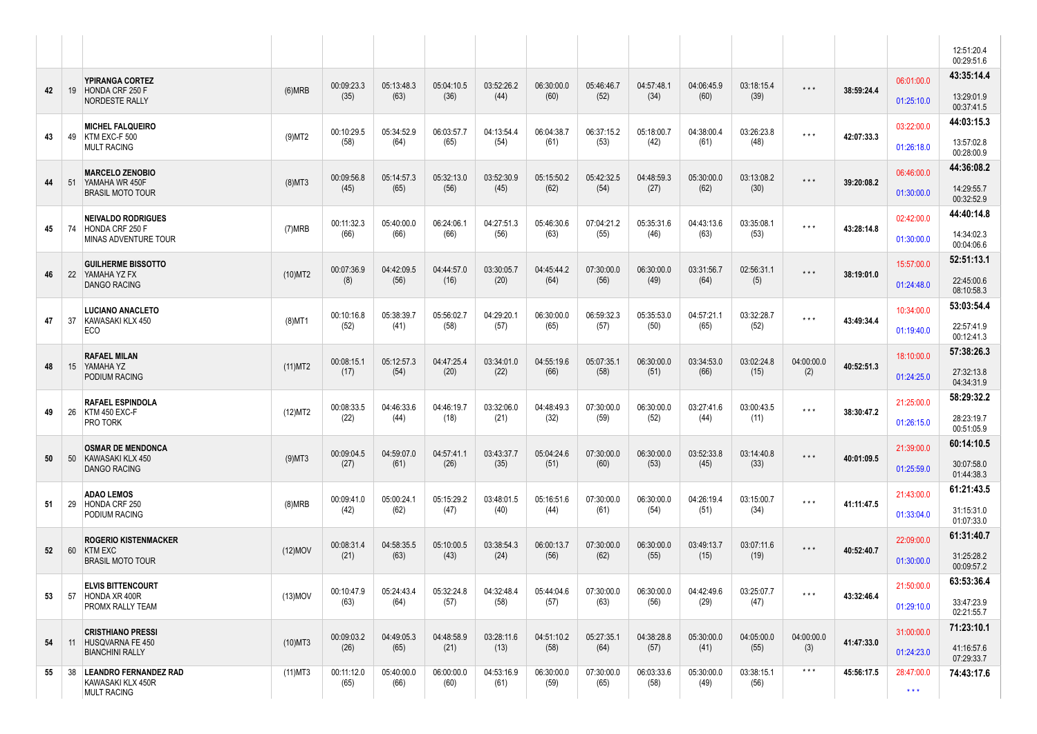|    |    |                                                                     |            |                    |                    |                    |                    |                    |                    |                    |                    |                    |                         |            |                                 | 12:51:20.4<br>00:29:51.6 |
|----|----|---------------------------------------------------------------------|------------|--------------------|--------------------|--------------------|--------------------|--------------------|--------------------|--------------------|--------------------|--------------------|-------------------------|------------|---------------------------------|--------------------------|
|    |    | YPIRANGA CORTEZ                                                     |            | 00:09:23.3         | 05:13:48.3         | 05:04:10.5         | 03:52:26.2         | 06:30:00.0         | 05:46:46.7         | 04:57:48.1         | 04:06:45.9         |                    |                         |            | 06:01:00.0                      | 43:35:14.4               |
| 42 | 19 | HONDA CRF 250 F<br>NORDESTE RALLY                                   | (6)MRB     | (35)               | (63)               | (36)               | (44)               | (60)               | (52)               | (34)               | (60)               | 03:18:15.4<br>(39) | $\star$ $\star$ $\star$ | 38:59:24.4 | 01:25:10.0                      | 13:29:01.9<br>00:37:41.5 |
|    |    | <b>MICHEL FALQUEIRO</b>                                             |            | 00:10:29.5         | 05:34:52.9         | 06:03:57.7         | 04:13:54.4         | 06:04:38.7         | 06:37:15.2         | 05:18:00.7         | 04:38:00.4         | 03:26:23.8         | $\star$ $\star$ $\star$ |            | 03:22:00.0                      | 44:03:15.3               |
| 43 | 49 | KTM EXC-F 500<br><b>MULT RACING</b>                                 | $(9)$ MT2  | (58)               | (64)               | (65)               | (54)               | (61)               | (53)               | (42)               | (61)               | (48)               |                         | 42:07:33.3 | 01:26:18.0                      | 13:57:02.8<br>00:28:00.9 |
|    |    | <b>MARCELO ZENOBIO</b>                                              |            | 00:09:56.8         | 05:14:57.3         | 05:32:13.0         | 03:52:30.9         | 05:15:50.2         | 05:42:32.5         | 04:48:59.3         | 05:30:00.0         | 03:13:08.2         | $\star$ $\star$ $\star$ |            | 06:46:00.0                      | 44:36:08.2               |
| 44 |    | 51 YAMAHA WR 450F<br><b>BRASIL MOTO TOUR</b>                        | $(8)$ MT3  | (45)               | (65)               | (56)               | (45)               | (62)               | (54)               | (27)               | (62)               | (30)               |                         | 39:20:08.2 | 01:30:00.0                      | 14:29:55.7<br>00:32:52.9 |
|    |    | <b>NEIVALDO RODRIGUES</b>                                           |            | 00:11:32.3         | 05:40:00.0         | 06:24:06.1         | 04:27:51.3         | 05:46:30.6         | 07:04:21.2         | 05:35:31.6         | 04:43:13.6         | 03:35:08.1         |                         |            | 02:42:00.0                      | 44:40:14.8               |
| 45 | 74 | HONDA CRF 250 F<br>MINAS ADVENTURE TOUR                             | (7)MRB     | (66)               | (66)               | (66)               | (56)               | (63)               | (55)               | (46)               | (63)               | (53)               | $\star$ $\star$ $\star$ | 43:28:14.8 | 01:30:00.0                      | 14:34:02.3<br>00:04:06.6 |
|    |    | <b>GUILHERME BISSOTTO</b>                                           |            | 00:07:36.9         | 04:42:09.5         | 04:44:57.0         | 03:30:05.7         | 04:45:44.2         | 07:30:00.0         | 06:30:00.0         | 03:31:56.7         | 02:56:31.1         | $\star$ $\star$ $\star$ |            | 15:57:00.0                      | 52:51:13.1               |
| 46 | 22 | YAMAHA YZ FX<br><b>DANGO RACING</b>                                 | $(10)$ MT2 | (8)                | (56)               | (16)               | (20)               | (64)               | (56)               | (49)               | (64)               | (5)                |                         | 38:19:01.0 | 01:24:48.0                      | 22:45:00.6<br>08:10:58.3 |
|    |    | <b>LUCIANO ANACLETO</b><br>KAWASAKI KLX 450                         |            | 00:10:16.8         | 05:38:39.7         | 05:56:02.7         | 04:29:20.1         | 06:30:00.0         | 06:59:32.3         | 05:35:53.0         | 04:57:21.1         | 03:32:28.7         | $\star$ $\star$ $\star$ | 43:49:34.4 | 10:34:00.0                      | 53:03:54.4               |
| 47 | 37 | <b>ECO</b>                                                          | $(8)$ MT1  | (52)               | (41)               | (58)               | (57)               | (65)               | (57)               | (50)               | (65)               | (52)               |                         |            | 01:19:40.0                      | 22:57:41.9<br>00:12:41.3 |
|    |    | <b>RAFAEL MILAN</b>                                                 |            | 00:08:15.1         | 05:12:57.3         | 04:47:25.4         | 03:34:01.0         | 04:55:19.6         | 05:07:35.1         | 06:30:00.0         | 03:34:53.0         | 03:02:24.8         | 04:00:00.0              |            | 18:10:00.0                      | 57:38:26.3               |
| 48 | 15 | YAMAHA YZ<br>PODIUM RACING                                          | (11)MT2    | (17)               | (54)               | (20)               | (22)               | (66)               | (58)               | (51)               | (66)               | (15)               | (2)                     | 40:52:51.3 | 01:24:25.0                      | 27:32:13.8<br>04:34:31.9 |
|    |    | <b>RAFAEL ESPINDOLA</b>                                             |            | 00:08:33.5         | 04:46:33.6         | 04:46:19.7         | 03:32:06.0         | 04:48:49.3         | 07:30:00.0         | 06:30:00.0         | 03:27:41.6         | 03:00:43.5         | $\star$ $\star$ $\star$ |            | 21:25:00.0                      | 58:29:32.2               |
| 49 | 26 | KTM 450 EXC-F<br>PRO TORK                                           | (12)MT2    | (22)               | (44)               | (18)               | (21)               | (32)               | (59)               | (52)               | (44)               | (11)               |                         | 38:30:47.2 | 01:26:15.0                      | 28:23:19.7<br>00:51:05.9 |
|    |    | <b>OSMAR DE MENDONCA</b>                                            |            | 00:09:04.5         | 04:59:07.0         | 04:57:41.1         | 03:43:37.7         | 05:04:24.6         | 07:30:00.0         | 06:30:00.0         | 03:52:33.8         | 03:14:40.8         | $\star$ $\star$ $\star$ |            | 21:39:00.0                      | 60:14:10.5               |
| 50 | 50 | KAWASAKI KLX 450<br><b>DANGO RACING</b>                             | $(9)$ MT3  | (27)               | (61)               | (26)               | (35)               | (51)               | (60)               | (53)               | (45)               | (33)               |                         | 40:01:09.5 | 01:25:59.0                      | 30:07:58.0<br>01:44:38.3 |
|    |    | <b>ADAO LEMOS</b>                                                   |            | 00:09:41.0         | 05:00:24.1         | 05:15:29.2         | 03:48:01.5         | 05:16:51.6         | 07:30:00.0         | 06:30:00.0         | 04:26:19.4         | 03:15:00.7         |                         |            | 21:43:00.0                      | 61:21:43.5               |
| 51 | 29 | HONDA CRF 250<br>PODIUM RACING                                      | (8)MRB     | (42)               | (62)               | (47)               | (40)               | (44)               | (61)               | (54)               | (51)               | (34)               | $\star$ $\star$ $\star$ | 41:11:47.5 | 01:33:04.0                      | 31:15:31.0<br>01:07:33.0 |
|    |    | <b>ROGERIO KISTENMACKER</b>                                         |            | 00:08:31.4         | 04:58:35.5         | 05:10:00.5         | 03:38:54.3         | 06:00:13.7         | 07:30:00.0         | 06:30:00.0         | 03:49:13.7         | 03:07:11.6         |                         |            | 22:09:00.0                      | 61:31:40.7               |
| 52 | 60 | <b>KTM EXC</b><br><b>BRASIL MOTO TOUR</b>                           | $(12)$ MOV | (21)               | (63)               | (43)               | (24)               | (56)               | (62)               | (55)               | (15)               | (19)               | $\star$ $\star$ $\star$ | 40:52:40.7 | 01:30:00.0                      | 31:25:28.2<br>00:09:57.2 |
|    |    | <b>ELVIS BITTENCOURT</b>                                            |            | 00:10:47.9         | 05:24:43.4         | 05:32:24.8         | 04:32:48.4         | 05:44:04.6         | 07:30:00.0         | 06:30:00.0         | 04:42:49.6         | 03:25:07.7         |                         |            | 21:50:00.0                      | 63:53:36.4               |
| 53 |    | 57 HONDA XR 400R<br>PROMX RALLY TEAM                                | $(13)$ MOV | (63)               | (64)               | (57)               | (58)               | (57)               | (63)               | (56)               | (29)               | (47)               | $\star$ $\star$ $\star$ | 43:32:46.4 | 01:29:10.0                      | 33:47:23.9<br>02:21:55.7 |
|    |    | <b>CRISTHIANO PRESSI</b>                                            |            | 00:09:03.2         | 04:49:05.3         | 04:48:58.9         | 03:28:11.6         | 04:51:10.2         | 05:27:35.1         | 04:38:28.8         | 05:30:00.0         | 04:05:00.0         | 04:00:00.0              |            | 31:00:00.0                      | 71:23:10.1               |
| 54 |    | 11 HUSQVARNA FE 450<br><b>BIANCHINI RALLY</b>                       | $(10)$ MT3 | (26)               | (65)               | (21)               | (13)               | (58)               | (64)               | (57)               | (41)               | (55)               | (3)                     | 41:47:33.0 | 01:24:23.0                      | 41:16:57.6<br>07:29:33.7 |
| 55 |    | 38 LEANDRO FERNANDEZ RAD<br>KAWASAKI KLX 450R<br><b>MULT RACING</b> | (11)MT3    | 00:11:12.0<br>(65) | 05:40:00.0<br>(66) | 06:00:00.0<br>(60) | 04:53:16.9<br>(61) | 06:30:00.0<br>(59) | 07:30:00.0<br>(65) | 06:03:33.6<br>(58) | 05:30:00.0<br>(49) | 03:38:15.1<br>(56) | $\star$ $\star$ $\star$ | 45:56:17.5 | 28:47:00.0<br>$\star\star\star$ | 74:43:17.6               |